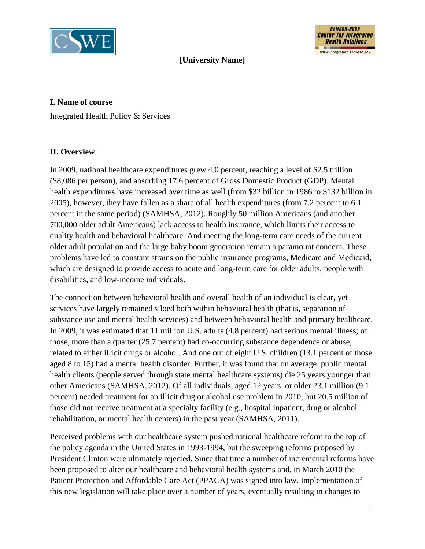



## **[University Name]**

#### **I. Name of course**

Integrated Health Policy & Services

#### **II. Overview**

In 2009, national healthcare expenditures grew 4.0 percent, reaching a level of \$2.5 trillion (\$8,086 per person), and absorbing 17.6 percent of Gross Domestic Product (GDP). Mental health expenditures have increased over time as well (from \$32 billion in 1986 to \$132 billion in 2005), however, they have fallen as a share of all health expenditures (from 7.2 percent to 6.1 percent in the same period) (SAMHSA, 2012). Roughly 50 million Americans (and another 700,000 older adult Americans) lack access to health insurance, which limits their access to quality health and behavioral healthcare. And meeting the long-term care needs of the current older adult population and the large baby boom generation remain a paramount concern. These problems have led to constant strains on the public insurance programs, Medicare and Medicaid, which are designed to provide access to acute and long-term care for older adults, people with disabilities, and low-income individuals.

The connection between behavioral health and overall health of an individual is clear, yet services have largely remained siloed both within behavioral health (that is, separation of substance use and mental health services) and between behavioral health and primary healthcare. In 2009, it was estimated that 11 million U.S. adults (4.8 percent) had serious mental illness; of those, more than a quarter (25.7 percent) had co-occurring substance dependence or abuse, related to either illicit drugs or alcohol. And one out of eight U.S. children (13.1 percent of those aged 8 to 15) had a mental health disorder. Further, it was found that on average, public mental health clients (people served through state mental healthcare systems) die 25 years younger than other Americans (SAMHSA, 2012). Of all individuals, aged 12 years or older 23.1 million (9.1 percent) needed treatment for an illicit drug or alcohol use problem in 2010, but 20.5 million of those did not receive treatment at a specialty facility (e.g., hospital inpatient, drug or alcohol rehabilitation, or mental health centers) in the past year (SAMHSA, 2011).

Perceived problems with our healthcare system pushed national healthcare reform to the top of the policy agenda in the United States in 1993-1994, but the sweeping reforms proposed by President Clinton were ultimately rejected. Since that time a number of incremental reforms have been proposed to alter our healthcare and behavioral health systems and, in March 2010 the Patient Protection and Affordable Care Act (PPACA) was signed into law. Implementation of this new legislation will take place over a number of years, eventually resulting in changes to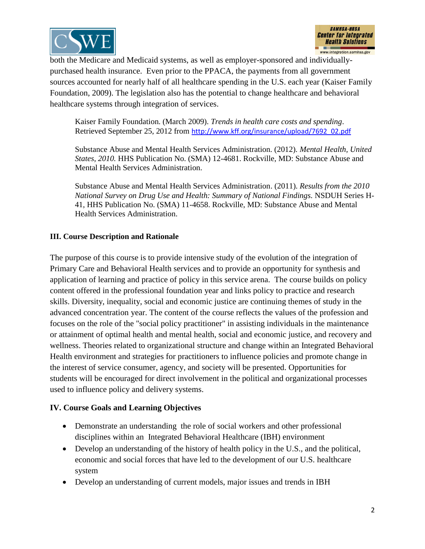



both the Medicare and Medicaid systems, as well as employer-sponsored and individuallypurchased health insurance. Even prior to the PPACA, the payments from all government sources accounted for nearly half of all healthcare spending in the U.S. each year (Kaiser Family Foundation, 2009). The legislation also has the potential to change healthcare and behavioral healthcare systems through integration of services.

Kaiser Family Foundation. (March 2009). *Trends in health care costs and spending*. Retrieved September 25, 2012 from [http://www.kff.org/insurance/upload/7692\\_02.pdf](http://www.kff.org/insurance/upload/7692_02.pdf)

Substance Abuse and Mental Health Services Administration. (2012). *Mental Health, United States, 2010.* HHS Publication No. (SMA) 12-4681. Rockville, MD: Substance Abuse and Mental Health Services Administration.

Substance Abuse and Mental Health Services Administration. (2011). *Results from the 2010 National Survey on Drug Use and Health: Summary of National Findings.* NSDUH Series H-41, HHS Publication No. (SMA) 11-4658. Rockville, MD: Substance Abuse and Mental Health Services Administration.

### **III. Course Description and Rationale**

The purpose of this course is to provide intensive study of the evolution of the integration of Primary Care and Behavioral Health services and to provide an opportunity for synthesis and application of learning and practice of policy in this service arena. The course builds on policy content offered in the professional foundation year and links policy to practice and research skills. Diversity, inequality, social and economic justice are continuing themes of study in the advanced concentration year. The content of the course reflects the values of the profession and focuses on the role of the "social policy practitioner" in assisting individuals in the maintenance or attainment of optimal health and mental health, social and economic justice, and recovery and wellness. Theories related to organizational structure and change within an Integrated Behavioral Health environment and strategies for practitioners to influence policies and promote change in the interest of service consumer, agency, and society will be presented. Opportunities for students will be encouraged for direct involvement in the political and organizational processes used to influence policy and delivery systems.

### **IV. Course Goals and Learning Objectives**

- Demonstrate an understanding the role of social workers and other professional disciplines within an Integrated Behavioral Healthcare (IBH) environment
- Develop an understanding of the history of health policy in the U.S., and the political, economic and social forces that have led to the development of our U.S. healthcare system
- Develop an understanding of current models, major issues and trends in IBH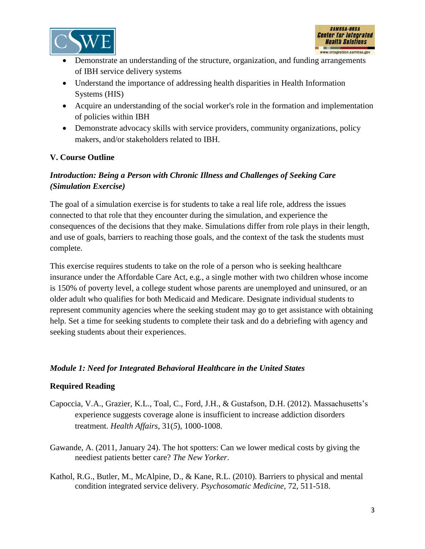



- Demonstrate an understanding of the structure, organization, and funding arrangements of IBH service delivery systems
- Understand the importance of addressing health disparities in Health Information Systems (HIS)
- Acquire an understanding of the social worker's role in the formation and implementation of policies within IBH
- Demonstrate advocacy skills with service providers, community organizations, policy makers, and/or stakeholders related to IBH.

### **V. Course Outline**

# *Introduction: Being a Person with Chronic Illness and Challenges of Seeking Care (Simulation Exercise)*

The goal of a simulation exercise is for students to take a real life role, address the issues connected to that role that they encounter during the simulation, and experience the consequences of the decisions that they make. Simulations differ from role plays in their length, and use of goals, barriers to reaching those goals, and the context of the task the students must complete.

This exercise requires students to take on the role of a person who is seeking healthcare insurance under the Affordable Care Act, e.g., a single mother with two children whose income is 150% of poverty level, a college student whose parents are unemployed and uninsured, or an older adult who qualifies for both Medicaid and Medicare. Designate individual students to represent community agencies where the seeking student may go to get assistance with obtaining help. Set a time for seeking students to complete their task and do a debriefing with agency and seeking students about their experiences.

### *Module 1: Need for Integrated Behavioral Healthcare in the United States*

- Capoccia, V.A., Grazier, K.L., Toal, C., Ford, J.H., & Gustafson, D.H. (2012). Massachusetts's experience suggests coverage alone is insufficient to increase addiction disorders treatment. *Health Affairs*, 31(*5*), 1000-1008.
- Gawande, A. (2011, January 24). The hot spotters: Can we lower medical costs by giving the neediest patients better care? *The New Yorker*.
- Kathol, R.G., Butler, M., McAlpine, D., & Kane, R.L. (2010). Barriers to physical and mental condition integrated service delivery. *Psychosomatic Medicine,* 72, 511-518.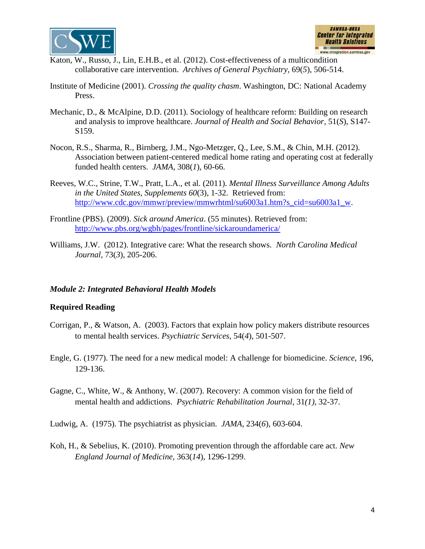



- Katon, W., Russo, J., Lin, E.H.B., et al. (2012). Cost-effectiveness of a multicondition collaborative care intervention. *Archives of General Psychiatry,* 69(*5*), 506-514.
- Institute of Medicine (2001). *Crossing the quality chasm*. Washington, DC: National Academy Press.
- Mechanic, D., & McAlpine, D.D. (2011). Sociology of healthcare reform: Building on research and analysis to improve healthcare. *Journal of Health and Social Behavior,* 51(*S*), S147- S159.
- Nocon, R.S., Sharma, R., Birnberg, J.M., Ngo-Metzger, Q., Lee, S.M., & Chin, M.H. (2012). Association between patient-centered medical home rating and operating cost at federally funded health centers. *JAMA,* 308(*1*), 60-66.
- Reeves, W.C., Strine, T.W., Pratt, L.A., et al. (2011). *Mental Illness Surveillance Among Adults in the United States, Supplements 60*(3), 1-32. Retrieved from: [http://www.cdc.gov/mmwr/preview/mmwrhtml/su6003a1.htm?s\\_cid=su6003a1\\_w.](http://www.cdc.gov/mmwr/preview/mmwrhtml/su6003a1.htm?s_cid=su6003a1_w)
- Frontline (PBS). (2009). *Sick around America*. (55 minutes). Retrieved from: <http://www.pbs.org/wgbh/pages/frontline/sickaroundamerica/>
- Williams, J.W. (2012). Integrative care: What the research shows. *North Carolina Medical Journal,* 73(*3*), 205-206.

#### *Module 2: Integrated Behavioral Health Models*

- Corrigan, P., & Watson, A. (2003). Factors that explain how policy makers distribute resources to mental health services. *Psychiatric Services*, 54(*4*), 501-507.
- Engle, G. (1977). The need for a new medical model: A challenge for biomedicine. *Science*, 196, 129-136.
- Gagne, C., White, W., & Anthony, W. (2007). Recovery: A common vision for the field of mental health and addictions. *Psychiatric Rehabilitation Journal*, 31*(1),* 32-37.
- Ludwig, A. (1975). The psychiatrist as physician. *JAMA,* 234(*6*), 603-604.
- Koh, H., & Sebelius, K. (2010). Promoting prevention through the affordable care act. *New England Journal of Medicine,* 363(*14*), 1296-1299.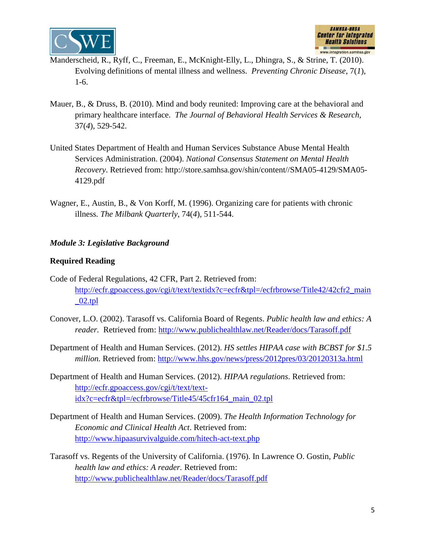



- Manderscheid, R., Ryff, C., Freeman, E., McKnight-Elly, L., Dhingra, S., & Strine, T. (2010). Evolving definitions of mental illness and wellness. *Preventing Chronic Disease*, 7(*1*), 1-6.
- Mauer, B., & Druss, B. (2010). Mind and body reunited: Improving care at the behavioral and primary healthcare interface. *The Journal of Behavioral Health Services & Research,*  37(*4*), 529-542.
- United States Department of Health and Human Services Substance Abuse Mental Health Services Administration. (2004). *National Consensus Statement on Mental Health Recovery*. Retrieved from: [http://store.samhsa.gov/shin/content//SMA05-4129/SMA05-](http://store.samhsa.gov/shin/content/SMA05-4129/SMA05-4129.pdf) [4129.pdf](http://store.samhsa.gov/shin/content/SMA05-4129/SMA05-4129.pdf)
- Wagner, E., Austin, B., & Von Korff, M. (1996). Organizing care for patients with chronic illness*. The Milbank Quarterly*, 74(*4*), 511-544.

### *Module 3: Legislative Background*

- Code of Federal Regulations, 42 CFR, Part 2. Retrieved from: [http://ecfr.gpoaccess.gov/cgi/t/text/textidx?c=ecfr&tpl=/ecfrbrowse/Title42/42cfr2\\_main](http://ecfr.gpoaccess.gov/cgi/t/text/textidx?c=ecfr&tpl=/ecfrbrowse/Title42/42cfr2_main_02.tpl)  $02.tpl$
- Conover, L.O. (2002). Tarasoff vs. California Board of Regents. *Public health law and ethics: A reader.* Retrieved from: <http://www.publichealthlaw.net/Reader/docs/Tarasoff.pdf>
- Department of Health and Human Services. (2012). *HS settles HIPAA case with BCBST for \$1.5 million.* Retrieved from: <http://www.hhs.gov/news/press/2012pres/03/20120313a.html>
- Department of Health and Human Services. (2012). *HIPAA regulations*. Retrieved from: [http://ecfr.gpoaccess.gov/cgi/t/text/text](http://ecfr.gpoaccess.gov/cgi/t/text/text-idx?c=ecfr&tpl=/ecfrbrowse/Title45/45cfr164_main_02.tpl)[idx?c=ecfr&tpl=/ecfrbrowse/Title45/45cfr164\\_main\\_02.tpl](http://ecfr.gpoaccess.gov/cgi/t/text/text-idx?c=ecfr&tpl=/ecfrbrowse/Title45/45cfr164_main_02.tpl)
- Department of Health and Human Services. (2009). *The Health Information Technology for Economic and Clinical Health Act*. Retrieved from: <http://www.hipaasurvivalguide.com/hitech-act-text.php>
- Tarasoff vs. Regents of the University of California. (1976). In Lawrence O. Gostin, *Public health law and ethics: A reader.* Retrieved from: <http://www.publichealthlaw.net/Reader/docs/Tarasoff.pdf>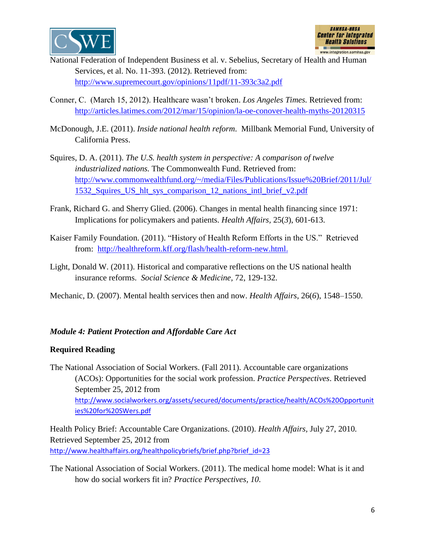



- National Federation of Independent Business et al. v. Sebelius, Secretary of Health and Human Services, et al. No. 11-393. (2012). Retrieved from: <http://www.supremecourt.gov/opinions/11pdf/11-393c3a2.pdf>
- Conner, C. (March 15, 2012). Healthcare wasn't broken. *Los Angeles Times.* Retrieved from: <http://articles.latimes.com/2012/mar/15/opinion/la-oe-conover-health-myths-20120315>
- McDonough, J.E. (2011). *Inside national health reform*. Millbank Memorial Fund, University of California Press.
- Squires, D. A. (2011). *The U.S. health system in perspective: A comparison of twelve industrialized nations.* The Commonwealth Fund. Retrieved from: [http://www.commonwealthfund.org/~/media/Files/Publications/Issue%20Brief/2011/Jul/](http://www.commonwealthfund.org/~/media/Files/Publications/Issue%20Brief/2011/Jul/1532_Squires_US_hlt_sys_comparison_12_nations_intl_brief_v2.pdf) [1532\\_Squires\\_US\\_hlt\\_sys\\_comparison\\_12\\_nations\\_intl\\_brief\\_v2.pdf](http://www.commonwealthfund.org/~/media/Files/Publications/Issue%20Brief/2011/Jul/1532_Squires_US_hlt_sys_comparison_12_nations_intl_brief_v2.pdf)
- Frank, Richard G. and Sherry Glied. (2006). Changes in mental health financing since 1971: Implications for policymakers and patients. *Health Affairs,* 25(*3*), 601‐613.
- Kaiser Family Foundation. (2011). "History of Health Reform Efforts in the US." Retrieved from: [http://healthreform.kff.org/flash/health-reform-new.html.](http://healthreform.kff.org/flash/health-reform-new.html)
- Light, Donald W. (2011). Historical and comparative reflections on the US national health insurance reforms. *Social Science & Medicine,* 72, 129-132.
- Mechanic, D. (2007). Mental health services then and now. *Health Affairs*, 26(*6*), 1548–1550.

### *Module 4: Patient Protection and Affordable Care Act*

#### **Required Reading**

The National Association of Social Workers. (Fall 2011). Accountable care organizations (ACOs): Opportunities for the social work profession. *Practice Perspectives*. Retrieved September 25, 2012 from [http://www.socialworkers.org/assets/secured/documents/practice/health/ACOs%20Opportunit](http://www.socialworkers.org/assets/secured/documents/practice/health/ACOs%20Opportunities%20for%20SWers.pdf) [ies%20for%20SWers.pdf](http://www.socialworkers.org/assets/secured/documents/practice/health/ACOs%20Opportunities%20for%20SWers.pdf)

Health Policy Brief: Accountable Care Organizations. (2010). *Health Affairs,* July 27, 2010*.* Retrieved September 25, 2012 from [http://www.healthaffairs.org/healthpolicybriefs/brief.php?brief\\_id=23](http://www.healthaffairs.org/healthpolicybriefs/brief.php?brief_id=23)

The National Association of Social Workers. (2011). The medical home model: What is it and how do social workers fit in? *Practice Perspectives, 10*.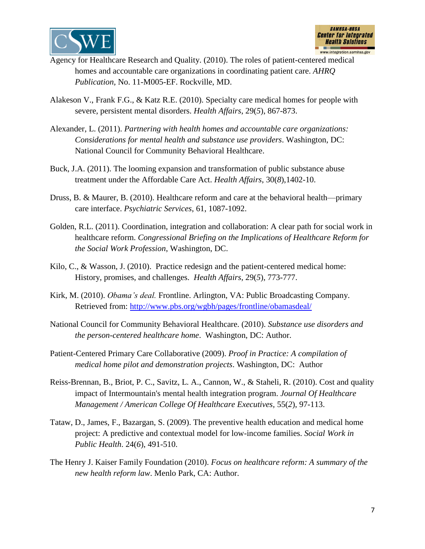



- Agency for Healthcare Research and Quality. (2010). The roles of patient-centered medical homes and accountable care organizations in coordinating patient care. *AHRQ Publication,* No. 11-M005-EF. Rockville, MD.
- Alakeson V., Frank F.G., & Katz R.E. (2010). Specialty care medical homes for people with severe, persistent mental disorders. *Health Affairs*, 29(*5*), 867-873.
- Alexander, L. (2011). *Partnering with health homes and accountable care organizations: Considerations for mental health and substance use providers*. Washington, DC: National Council for Community Behavioral Healthcare.
- Buck, J.A. (2011). The looming expansion and transformation of public substance abuse treatment under the Affordable Care Act. *Health Affairs*, 30(*8*),1402-10.
- Druss, B. & Maurer, B. (2010). Healthcare reform and care at [the behavioral health—primary](http://ps.psychiatryonline.org/article.aspx?articleid=101629&RelatedWidgetArticles=true)  [care interface.](http://ps.psychiatryonline.org/article.aspx?articleid=101629&RelatedWidgetArticles=true) *Psychiatric Services*, 61, 1087-1092.
- Golden, R.L. (2011). Coordination, integration and collaboration: A clear path for social work in healthcare reform. *Congressional Briefing on the Implications of Healthcare Reform for the Social Work Profession*, Washington, DC.
- Kilo, C., & Wasson, J. (2010). Practice redesign and the patient-centered medical home: History, promises, and challenges. *Health Affairs*, 29(*5*), 773-777.
- Kirk, M. (2010). *Obama's deal.* Frontline. Arlington, VA: Public Broadcasting Company. Retrieved from:<http://www.pbs.org/wgbh/pages/frontline/obamasdeal/>
- National Council for Community Behavioral Healthcare. (2010). *Substance use disorders and the person-centered healthcare home*. Washington, DC: Author.
- Patient-Centered Primary Care Collaborative (2009). *Proof in Practice: A compilation of medical home pilot and demonstration projects*. Washington, DC: Author
- Reiss-Brennan, B., Briot, P. C., Savitz, L. A., Cannon, W., & Staheli, R. (2010). Cost and quality impact of Intermountain's mental health integration program. *Journal Of Healthcare Management / American College Of Healthcare Executives,* 55(*2*), 97-113.
- Tataw, D., James, F., Bazargan, S. (2009). The preventive health education and medical home project: A predictive and contextual model for low-income families. *Social Work in Public Health*. 24(*6*), 491-510.
- The Henry J. Kaiser Family Foundation (2010). *Focus on healthcare reform: A summary of the new health reform law*. Menlo Park, CA: Author.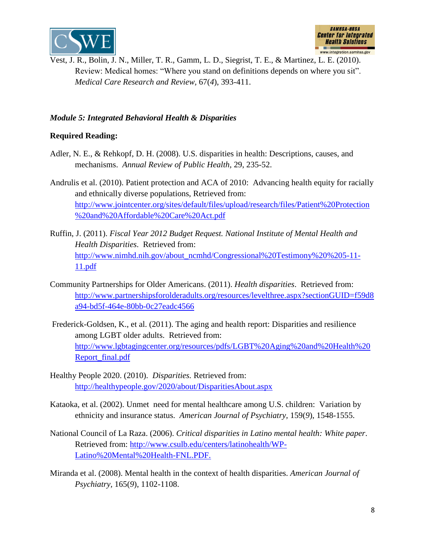



Vest, J. R., Bolin, J. N., Miller, T. R., Gamm, L. D., Siegrist, T. E., & Martinez, L. E. (2010). Review: Medical homes: "Where you stand on definitions depends on where you sit". *Medical Care Research and Review,* 67(*4*), 393-411.

## *Module 5: Integrated Behavioral Health & Disparities*

- Adler, N. E., & Rehkopf, D. H. (2008). U.S. disparities in health: Descriptions, causes, and mechanisms. *Annual Review of Public Health,* 29, 235-52.
- Andrulis et al. (2010). Patient protection and ACA of 2010: Advancing health equity for racially and ethnically diverse populations, Retrieved from: [http://www.jointcenter.org/sites/default/files/upload/research/files/Patient%20Protection](http://www.jointcenter.org/sites/default/files/upload/research/files/Patient%20Protection%20and%20Affordable%20Care%20Act.pdf) [%20and%20Affordable%20Care%20Act.pdf](http://www.jointcenter.org/sites/default/files/upload/research/files/Patient%20Protection%20and%20Affordable%20Care%20Act.pdf)
- Ruffin, J. (2011). *Fiscal Year 2012 Budget Request. National Institute of Mental Health and Health Disparities*. Retrieved from: [http://www.nimhd.nih.gov/about\\_ncmhd/Congressional%20Testimony%20%205-11-](http://www.nimhd.nih.gov/about_ncmhd/Congressional%20Testimony%20%205-11-11.pdf) [11.pdf](http://www.nimhd.nih.gov/about_ncmhd/Congressional%20Testimony%20%205-11-11.pdf)
- Community Partnerships for Older Americans. (2011). *Health disparities*. Retrieved from: [http://www.partnershipsforolderadults.org/resources/levelthree.aspx?sectionGUID=f59d8](http://www.partnershipsforolderadults.org/resources/levelthree.aspx?sectionGUID=f59d8a94-bd5f-464e-80bb-0c27eadc4566) [a94-bd5f-464e-80bb-0c27eadc4566](http://www.partnershipsforolderadults.org/resources/levelthree.aspx?sectionGUID=f59d8a94-bd5f-464e-80bb-0c27eadc4566)
- Frederick-Goldsen, K., et al. (2011). The aging and health report: Disparities and resilience among LGBT older adults. Retrieved from: [http://www.lgbtagingcenter.org/resources/pdfs/LGBT%20Aging%20and%20Health%20](http://www.lgbtagingcenter.org/resources/pdfs/LGBT%20Aging%20and%20Health%20Report_final.pdf) [Report\\_final.pdf](http://www.lgbtagingcenter.org/resources/pdfs/LGBT%20Aging%20and%20Health%20Report_final.pdf)
- Healthy People 2020. (2010). *Disparities.* Retrieved from: <http://healthypeople.gov/2020/about/DisparitiesAbout.aspx>
- Kataoka, et al. (2002). Unmet need for mental healthcare among U.S. children: Variation by ethnicity and insurance status. *American Journal of Psychiatry,* 159(*9*), 1548-1555.
- National Council of La Raza. (2006). *Critical disparities in Latino mental health: White paper*. Retrieved from: [http://www.csulb.edu/centers/latinohealth/WP-](http://www.csulb.edu/centers/latinohealth/WP-Latino%20Mental%20Health-FNL.PDF)[Latino%20Mental%20Health-FNL.PDF.](http://www.csulb.edu/centers/latinohealth/WP-Latino%20Mental%20Health-FNL.PDF)
- Miranda et al. (2008). Mental health in the context of health disparities. *American Journal of Psychiatry,* 165(*9*), 1102-1108.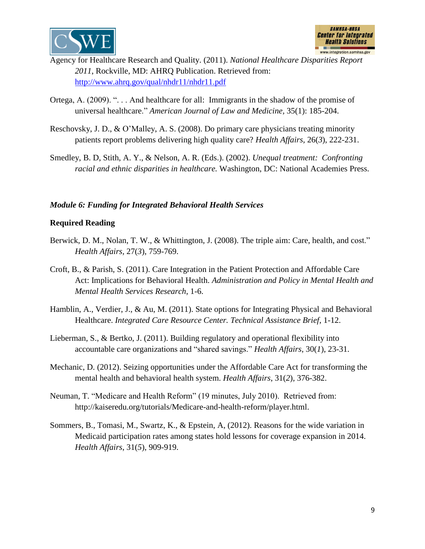



- Agency for Healthcare Research and Quality. (2011). *National Healthcare Disparities Report 2011*, Rockville, MD: AHRQ Publication. Retrieved from: <http://www.ahrq.gov/qual/nhdr11/nhdr11.pdf>
- Ortega, A. (2009). ". . . And healthcare for all: Immigrants in the shadow of the promise of universal healthcare." *American Journal of Law and Medicine,* 35(1): 185-204.
- Reschovsky, J. D., & O'Malley, A. S. (2008). Do primary care physicians treating minority patients report problems delivering high quality care? *Health Affairs,* 26(*3*), 222-231.
- Smedley, B. D, Stith, A. Y., & Nelson, A. R. (Eds.). (2002). *Unequal treatment: Confronting racial and ethnic disparities in healthcare.* Washington, DC: National Academies Press.

#### *Module 6: Funding for Integrated Behavioral Health Services*

- Berwick, D. M., Nolan, T. W., & Whittington, J. (2008). The triple aim: Care, health, and cost." *Health Affairs,* 27(*3*), 759-769.
- Croft, B., & Parish, S. (2011). Care Integration in the Patient Protection and Affordable Care Act: Implications for Behavioral Health. *Administration and Policy in Mental Health and Mental Health Services Research*, 1-6.
- Hamblin, A., Verdier, J., & Au, M. (2011). State options for Integrating Physical and Behavioral Healthcare. *Integrated Care Resource Center. Technical Assistance Brief*, 1-12.
- Lieberman, S., & Bertko, J. (2011). Building regulatory and operational flexibility into accountable care organizations and "shared savings." *Health Affairs*, 30(*1*), 23-31.
- Mechanic, D. (2012). Seizing opportunities under the Affordable Care Act for transforming the mental health and behavioral health system. *Health Affairs*, 31(*2*), 376-382.
- Neuman, T. "Medicare and Health Reform" (19 minutes, July 2010). Retrieved from: [http://kaiseredu.org/tutorials/Medicare-and-health-reform/player.html.](http://kaiseredu.org/tutorials/Medicare-and-health-reform/player.html)
- Sommers, B., Tomasi, M., Swartz, K., & Epstein, A, (2012). Reasons for the wide variation in Medicaid participation rates among states hold lessons for coverage expansion in 2014. *Health Affairs*, 31(*5*), 909-919.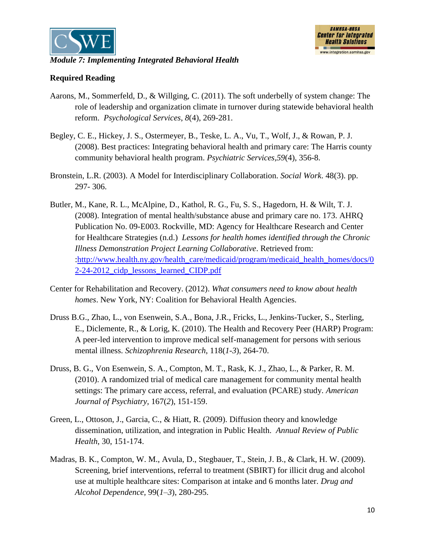



#### *Module 7: Implementing Integrated Behavioral Health*

- Aarons, M., Sommerfeld, D., & Willging, C. (2011). The soft underbelly of system change: The role of leadership and organization climate in turnover during statewide behavioral health reform. *Psychological Services*, *8*(4), 269-281.
- Begley, C. E., Hickey, J. S., Ostermeyer, B., Teske, L. A., Vu, T., Wolf, J., & Rowan, P. J. (2008). Best practices: Integrating behavioral health and primary care: The Harris county community behavioral health program. *Psychiatric Services,59*(4), 356-8.
- Bronstein, L.R. (2003). A Model for Interdisciplinary Collaboration. *Social Work*. 48(3). pp. 297- 306.
- Butler, M., Kane, R. L., McAlpine, D., Kathol, R. G., Fu, S. S., Hagedorn, H. & Wilt, T. J. (2008). Integration of mental health/substance abuse and primary care no. 173. AHRQ Publication No. 09-E003. Rockville, MD: Agency for Healthcare Research and Center for Healthcare Strategies (n.d.) *Lessons for health homes identified through the Chronic Illness Demonstration Project Learning Collaborative*. Retrieved from: [:http://www.health.ny.gov/health\\_care/medicaid/program/medicaid\\_health\\_homes/docs/0](http://www.health.ny.gov/health_care/medicaid/program/medicaid_health_homes/docs/02-24-2012_cidp_lessons_learned_CIDP.pdf) 2-24-2012 cidp\_lessons\_learned\_CIDP.pdf
- Center for Rehabilitation and Recovery. (2012). *What consumers need to know about health homes*. New York, NY: Coalition for Behavioral Health Agencies.
- Druss B.G., Zhao, L., von Esenwein, S.A., Bona, J.R., Fricks, L., Jenkins-Tucker, S., Sterling, E., Diclemente, R., & Lorig, K. (2010). The Health and Recovery Peer (HARP) Program: A peer-led intervention to improve medical self-management for persons with serious mental illness. *Schizophrenia Research*, 118(*1-3*), 264-70.
- Druss, B. G., Von Esenwein, S. A., Compton, M. T., Rask, K. J., Zhao, L., & Parker, R. M. (2010). A randomized trial of medical care management for community mental health settings: The primary care access, referral, and evaluation (PCARE) study. *American Journal of Psychiatry,* 167(*2*), 151-159.
- Green, L., Ottoson, J., Garcia, C., & Hiatt, R. (2009). Diffusion theory and knowledge dissemination, utilization, and integration in Public Health. *Annual Review of Public Health*, 30, 151-174.
- Madras, B. K., Compton, W. M., Avula, D., Stegbauer, T., Stein, J. B., & Clark, H. W. (2009). Screening, brief interventions, referral to treatment (SBIRT) for illicit drug and alcohol use at multiple healthcare sites: Comparison at intake and 6 months later. *Drug and Alcohol Dependence,* 99(*1–3*), 280-295.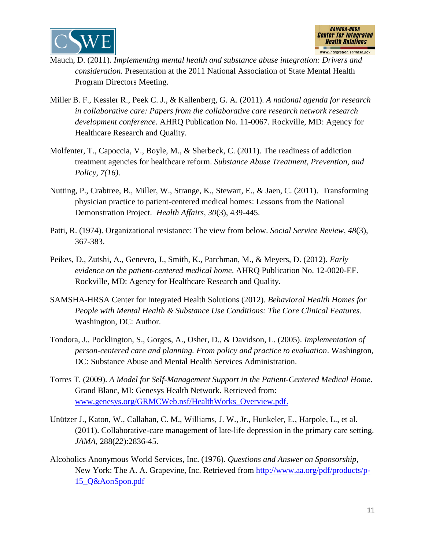



- Mauch, D. (2011). *Implementing mental health and substance abuse integration: Drivers and consideration.* Presentation at the 2011 National Association of State Mental Health Program Directors Meeting.
- Miller B. F., Kessler R., Peek C. J., & Kallenberg, G. A. (2011). *A national agenda for research in collaborative care: Papers from the collaborative care research network research development conference*. AHRQ Publication No. 11-0067. Rockville, MD: Agency for Healthcare Research and Quality.
- Molfenter, T., Capoccia, V., Boyle, M., & Sherbeck, C. (2011). The readiness of addiction treatment agencies for healthcare reform. *Substance Abuse Treatment, Prevention, and Policy, 7(16)*.
- Nutting, P., Crabtree, B., Miller, W., Strange, K., Stewart, E., & Jaen, C. (2011). Transforming physician practice to patient-centered medical homes: Lessons from the National Demonstration Project. *Health Affairs*, *30*(3), 439-445.
- Patti, R. (1974). Organizational resistance: The view from below. *Social Service Review*, *48*(3), 367-383.
- Peikes, D., Zutshi, A., Genevro, J., Smith, K., Parchman, M., & Meyers, D. (2012). *Early evidence on the patient-centered medical home*. AHRQ Publication No. 12-0020-EF. Rockville, MD: Agency for Healthcare Research and Quality.
- SAMSHA-HRSA Center for Integrated Health Solutions (2012). *[Behavioral Health Homes for](http://cms.centerforintegratedhealthsolutions.org/clinical-practice/CIHS_Health_Homes_Core_Clinical_Features.pdf)  [People with Mental Health & Substance Use Conditions: The Core Clinical Features](http://cms.centerforintegratedhealthsolutions.org/clinical-practice/CIHS_Health_Homes_Core_Clinical_Features.pdf)*. Washington, DC: Author.
- Tondora, J., Pocklington, S., Gorges, A., Osher, D., & Davidson, L. (2005). *Implementation of person-centered care and planning. From policy and practice to evaluation*. Washington, DC: Substance Abuse and Mental Health Services Administration.
- Torres T. (2009). *A Model for Self-Management Support in the Patient-Centered Medical Home*. Grand Blanc, MI: Genesys Health Network. Retrieved from: [www.genesys.org/GRMCWeb.nsf/HealthWorks\\_Overview.pdf.](http://www.genesys.org/GRMCWeb.nsf/HealthWorks_Overview.pdf)
- Unützer J., Katon, W., Callahan, C. M., Williams, J. W., Jr., Hunkeler, E., Harpole, L., et al. (2011). Collaborative-care management of late-life depression in the primary care setting. *JAMA,* 288(*22*):2836-45.
- Alcoholics Anonymous World Services, Inc. (1976). *Questions and Answer on Sponsorship*, New York: The A. A. Grapevine, Inc. Retrieved from [http://www.aa.org/pdf/products/p-](http://www.aa.org/pdf/products/p-15_Q&AonSpon.pdf)[15\\_Q&AonSpon.pdf](http://www.aa.org/pdf/products/p-15_Q&AonSpon.pdf)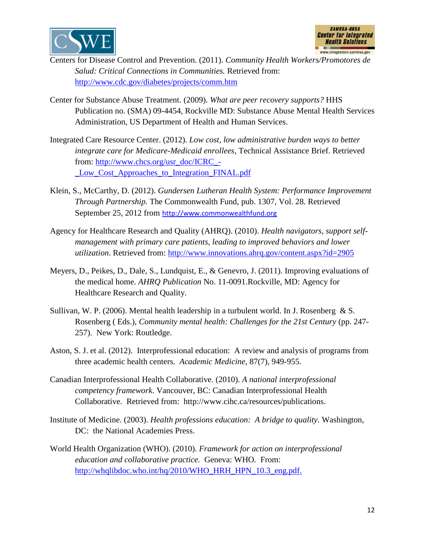



- Centers for Disease Control and Prevention. (2011). *Community Health Workers/Promotores de Salud: Critical Connections in Communities.* Retrieved from: <http://www.cdc.gov/diabetes/projects/comm.htm>
- Center for Substance Abuse Treatment. (2009). *What are peer recovery supports?* HHS Publication no. (SMA) 09-4454, Rockville MD: Substance Abuse Mental Health Services Administration, US Department of Health and Human Services.
- Integrated Care Resource Center. (2012). *Low cost, low administrative burden ways to better integrate care for Medicare-Medicaid enrollees,* Technical Assistance Brief. Retrieved from: [http://www.chcs.org/usr\\_doc/ICRC\\_-](http://www.chcs.org/usr_doc/ICRC_-_Low_Cost_Approaches_to_Integration_FINAL.pdf) [\\_Low\\_Cost\\_Approaches\\_to\\_Integration\\_FINAL.pdf](http://www.chcs.org/usr_doc/ICRC_-_Low_Cost_Approaches_to_Integration_FINAL.pdf)
- Klein, S., McCarthy, D. (2012). *Gundersen Lutheran Health System: Performance Improvement Through Partnership.* The Commonwealth Fund, pub. 1307, Vol. 28. Retrieved September 25, 2012 from [http://www.commonwealthfund.org](http://www.commonwealthfund.org/)
- Agency for Healthcare Research and Quality (AHRQ). (2010). *Health navigators, support selfmanagement with primary care patients, leading to improved behaviors and lower utilization*. Retrieved from: <http://www.innovations.ahrq.gov/content.aspx?id=2905>
- Meyers, D., Peikes, D., Dale, S., Lundquist, E., & Genevro, J. (2011). Improving evaluations of the medical home. *AHRQ Publication* No. 11-0091.Rockville, MD: Agency for Healthcare Research and Quality.
- Sullivan, W. P. (2006). Mental health leadership in a turbulent world. In J. Rosenberg & S. Rosenberg ( Eds.), *Community mental health: Challenges for the 21st Century* (pp. 247- 257). New York: Routledge.
- Aston, S. J. et al. (2012). Interprofessional education: A review and analysis of programs from three academic health centers. *Academic Medicine,* 87(7), 949-955.
- Canadian Interprofessional Health Collaborative. (2010). *A national interprofessional competency framework*. Vancouver, BC: Canadian Interprofessional Health Collaborative. Retrieved from: http://www.cihc.ca/resources/publications.
- Institute of Medicine. (2003). *Health professions education: A bridge to quality*. Washington, DC: the National Academies Press.
- World Health Organization (WHO). (2010). *Framework for action on interprofessional education and collaborative practice.* Geneva: WHO. From: [http://whqlibdoc.who.int/hq/2010/WHO\\_HRH\\_HPN\\_10.3\\_eng.pdf.](http://whqlibdoc.who.int/hq/2010/WHO_HRH_HPN_10.3_eng.pdf)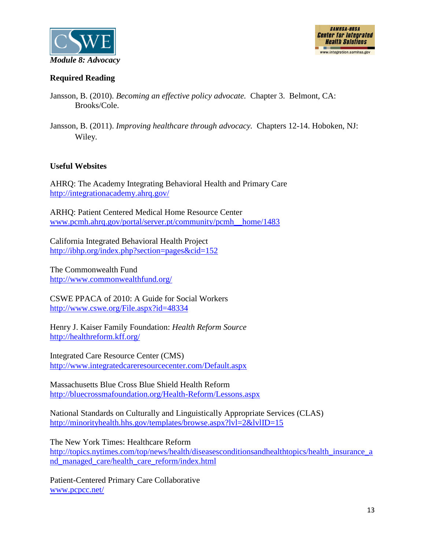



### **Required Reading**

- Jansson, B. (2010). *Becoming an effective policy advocate.* Chapter 3. Belmont, CA: Brooks/Cole.
- Jansson, B. (2011). *Improving healthcare through advocacy.* Chapters 12-14. Hoboken, NJ: Wiley.

### **Useful Websites**

AHRQ: The Academy Integrating Behavioral Health and Primary Care <http://integrationacademy.ahrq.gov/>

ARHQ: Patient Centered Medical Home Resource Center [www.pcmh.ahrq.gov/portal/server.pt/community/pcmh\\_\\_home/1483](http://www.pcmh.ahrq.gov/portal/server.pt/community/pcmh__home/1483)

California Integrated Behavioral Health Project <http://ibhp.org/index.php?section=pages&cid=152>

The Commonwealth Fund <http://www.commonwealthfund.org/>

CSWE PPACA of 2010: A Guide for Social Workers <http://www.cswe.org/File.aspx?id=48334>

Henry J. Kaiser Family Foundation: *Health Reform Source* <http://healthreform.kff.org/>

Integrated Care Resource Center (CMS) <http://www.integratedcareresourcecenter.com/Default.aspx>

Massachusetts Blue Cross Blue Shield Health Reform <http://bluecrossmafoundation.org/Health-Reform/Lessons.aspx>

National Standards on Culturally and Linguistically Appropriate Services (CLAS) <http://minorityhealth.hhs.gov/templates/browse.aspx?lvl=2&lvlID=15>

The New York Times: Healthcare Reform

[http://topics.nytimes.com/top/news/health/diseasesconditionsandhealthtopics/health\\_insurance\\_a](http://topics.nytimes.com/top/news/health/diseasesconditionsandhealthtopics/health_insurance_and_managed_care/health_care_reform/index.html) [nd\\_managed\\_care/health\\_care\\_reform/index.html](http://topics.nytimes.com/top/news/health/diseasesconditionsandhealthtopics/health_insurance_and_managed_care/health_care_reform/index.html)

Patient-Centered Primary Care Collaborative [www.pcpcc.net/](http://www.pcpcc.net/)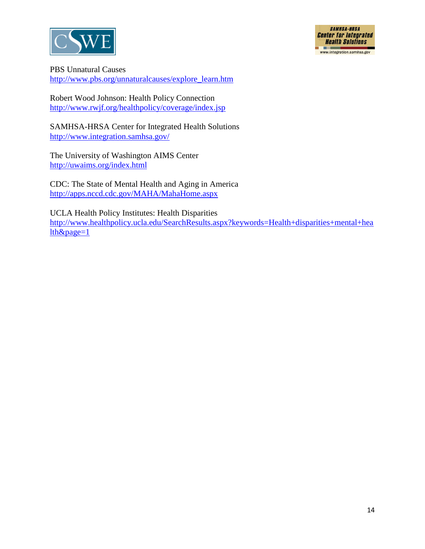



PBS Unnatural Causes

[http://www.pbs.org/unnaturalcauses/explore\\_learn.htm](http://www.pbs.org/unnaturalcauses/explore_learn.htm)

Robert Wood Johnson: Health Policy Connection <http://www.rwjf.org/healthpolicy/coverage/index.jsp>

SAMHSA-HRSA Center for Integrated Health Solutions <http://www.integration.samhsa.gov/>

The University of Washington AIMS Center <http://uwaims.org/index.html>

CDC: The State of Mental Health and Aging in America <http://apps.nccd.cdc.gov/MAHA/MahaHome.aspx>

UCLA Health Policy Institutes: Health Disparities [http://www.healthpolicy.ucla.edu/SearchResults.aspx?keywords=Health+disparities+mental+hea](http://www.healthpolicy.ucla.edu/SearchResults.aspx?keywords=Health+disparities+mental+health&page=1) [lth&page=1](http://www.healthpolicy.ucla.edu/SearchResults.aspx?keywords=Health+disparities+mental+health&page=1)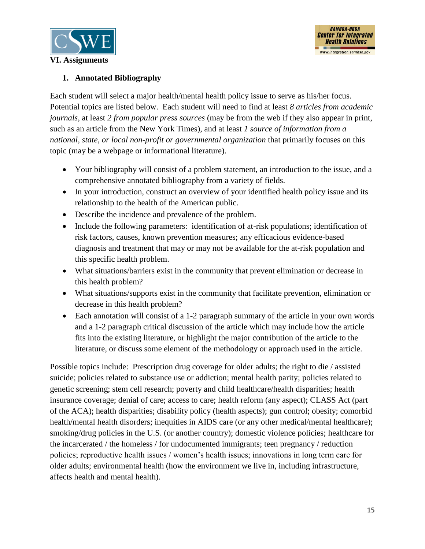

## **1. Annotated Bibliography**

Each student will select a major health/mental health policy issue to serve as his/her focus. Potential topics are listed below. Each student will need to find at least *8 articles from academic journals*, at least *2 from popular press sources* (may be from the web if they also appear in print, such as an article from the New York Times), and at least *1 source of information from a national, state, or local non-profit or governmental organization* that primarily focuses on this topic (may be a webpage or informational literature).

- Your bibliography will consist of a problem statement, an introduction to the issue, and a comprehensive annotated bibliography from a variety of fields.
- In your introduction, construct an overview of your identified health policy issue and its relationship to the health of the American public.
- Describe the incidence and prevalence of the problem.
- Include the following parameters: identification of at-risk populations; identification of risk factors, causes, known prevention measures; any efficacious evidence-based diagnosis and treatment that may or may not be available for the at-risk population and this specific health problem.
- What situations/barriers exist in the community that prevent elimination or decrease in this health problem?
- What situations/supports exist in the community that facilitate prevention, elimination or decrease in this health problem?
- Each annotation will consist of a 1-2 paragraph summary of the article in your own words and a 1-2 paragraph critical discussion of the article which may include how the article fits into the existing literature, or highlight the major contribution of the article to the literature, or discuss some element of the methodology or approach used in the article.

Possible topics include: Prescription drug coverage for older adults; the right to die / assisted suicide; policies related to substance use or addiction; mental health parity; policies related to genetic screening; stem cell research; poverty and child healthcare/health disparities; health insurance coverage; denial of care; access to care; health reform (any aspect); CLASS Act (part of the ACA); health disparities; disability policy (health aspects); gun control; obesity; comorbid health/mental health disorders; inequities in AIDS care (or any other medical/mental healthcare); smoking/drug policies in the U.S. (or another country); domestic violence policies; healthcare for the incarcerated / the homeless / for undocumented immigrants; teen pregnancy / reduction policies; reproductive health issues / women's health issues; innovations in long term care for older adults; environmental health (how the environment we live in, including infrastructure, affects health and mental health).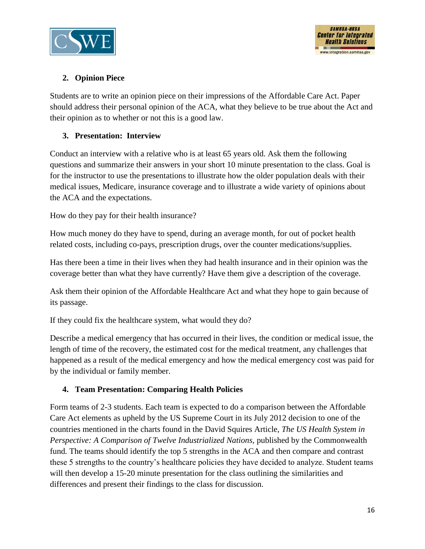



## **2. Opinion Piece**

Students are to write an opinion piece on their impressions of the Affordable Care Act. Paper should address their personal opinion of the ACA, what they believe to be true about the Act and their opinion as to whether or not this is a good law.

### **3. Presentation: Interview**

Conduct an interview with a relative who is at least 65 years old. Ask them the following questions and summarize their answers in your short 10 minute presentation to the class. Goal is for the instructor to use the presentations to illustrate how the older population deals with their medical issues, Medicare, insurance coverage and to illustrate a wide variety of opinions about the ACA and the expectations.

How do they pay for their health insurance?

How much money do they have to spend, during an average month, for out of pocket health related costs, including co-pays, prescription drugs, over the counter medications/supplies.

Has there been a time in their lives when they had health insurance and in their opinion was the coverage better than what they have currently? Have them give a description of the coverage.

Ask them their opinion of the Affordable Healthcare Act and what they hope to gain because of its passage.

If they could fix the healthcare system, what would they do?

Describe a medical emergency that has occurred in their lives, the condition or medical issue, the length of time of the recovery, the estimated cost for the medical treatment, any challenges that happened as a result of the medical emergency and how the medical emergency cost was paid for by the individual or family member.

### **4. Team Presentation: Comparing Health Policies**

Form teams of 2-3 students. Each team is expected to do a comparison between the Affordable Care Act elements as upheld by the US Supreme Court in its July 2012 decision to one of the countries mentioned in the charts found in the David Squires Article, *The US Health System in Perspective: A Comparison of Twelve Industrialized Nations, published by the Commonwealth* fund*.* The teams should identify the top 5 strengths in the ACA and then compare and contrast these 5 strengths to the country's healthcare policies they have decided to analyze. Student teams will then develop a 15-20 minute presentation for the class outlining the similarities and differences and present their findings to the class for discussion.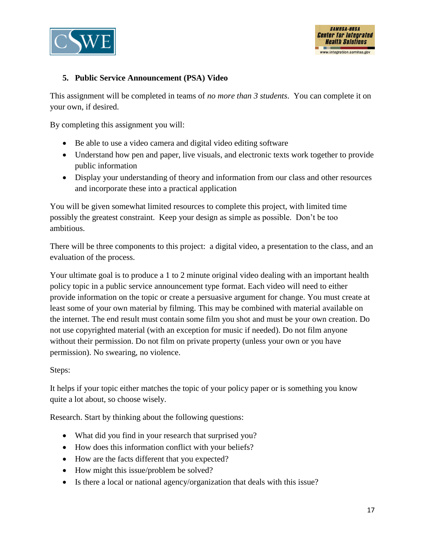



## **5. Public Service Announcement (PSA) Video**

This assignment will be completed in teams of *no more than 3 students*. You can complete it on your own, if desired.

By completing this assignment you will:

- Be able to use a video camera and digital video editing software
- Understand how pen and paper, live visuals, and electronic texts work together to provide public information
- Display your understanding of theory and information from our class and other resources and incorporate these into a practical application

You will be given somewhat limited resources to complete this project, with limited time possibly the greatest constraint. Keep your design as simple as possible. Don't be too ambitious.

There will be three components to this project: a digital video, a presentation to the class, and an evaluation of the process.

Your ultimate goal is to produce a 1 to 2 minute original video dealing with an important health policy topic in a public service announcement type format. Each video will need to either provide information on the topic or create a persuasive argument for change. You must create at least some of your own material by filming. This may be combined with material available on the internet. The end result must contain some film you shot and must be your own creation. Do not use copyrighted material (with an exception for music if needed). Do not film anyone without their permission. Do not film on private property (unless your own or you have permission). No swearing, no violence.

Steps:

It helps if your topic either matches the topic of your policy paper or is something you know quite a lot about, so choose wisely.

Research. Start by thinking about the following questions:

- What did you find in your research that surprised you?
- How does this information conflict with your beliefs?
- How are the facts different that you expected?
- How might this issue/problem be solved?
- Is there a local or national agency/organization that deals with this issue?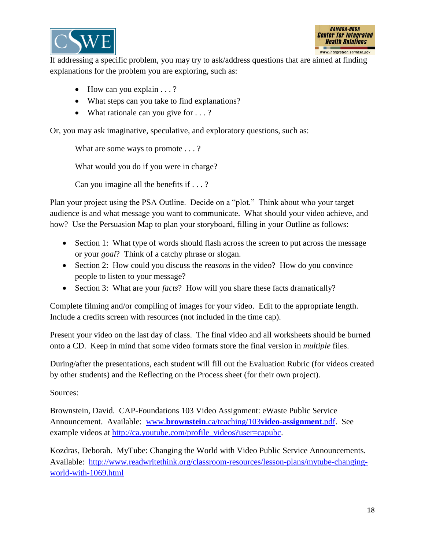



If addressing a specific problem, you may try to ask/address questions that are aimed at finding explanations for the problem you are exploring, such as:

- $\bullet$  How can you explain . . . ?
- What steps can you take to find explanations?
- What rationale can you give for . . . ?

Or, you may ask imaginative, speculative, and exploratory questions, such as:

What are some ways to promote . . . ?

What would you do if you were in charge?

Can you imagine all the benefits if . . . ?

Plan your project using the PSA Outline. Decide on a "plot." Think about who your target audience is and what message you want to communicate. What should your video achieve, and how? Use the Persuasion Map to plan your storyboard, filling in your Outline as follows:

- Section 1: What type of words should flash across the screen to put across the message or your *goal*? Think of a catchy phrase or slogan.
- Section 2: How could you discuss the *reasons* in the video? How do you convince people to listen to your message?
- Section 3: What are your *facts*? How will you share these facts dramatically?

Complete filming and/or compiling of images for your video. Edit to the appropriate length. Include a credits screen with resources (not included in the time cap).

Present your video on the last day of class. The final video and all worksheets should be burned onto a CD. Keep in mind that some video formats store the final version in *multiple* files.

During/after the presentations, each student will fill out the Evaluation Rubric (for videos created by other students) and the Reflecting on the Process sheet (for their own project).

#### Sources:

Brownstein, David. CAP-Foundations 103 Video Assignment: eWaste Public Service Announcement. Available: www.**brownstein**[.ca/teaching/103](http://www.brownstein.ca/teaching/103video-assignment.pdf)**video**-**assignment**.pdf. See example videos at [http://ca.youtube.com/profile\\_videos?user=capubc.](http://ca.youtube.com/profile_videos?user=capubc)

Kozdras, Deborah. MyTube: Changing the World with Video Public Service Announcements. Available: [http://www.readwritethink.org/classroom-resources/lesson-plans/mytube-changing](http://www.readwritethink.org/classroom-resources/lesson-plans/mytube-changing-world-with-1069.html)[world-with-1069.html](http://www.readwritethink.org/classroom-resources/lesson-plans/mytube-changing-world-with-1069.html)